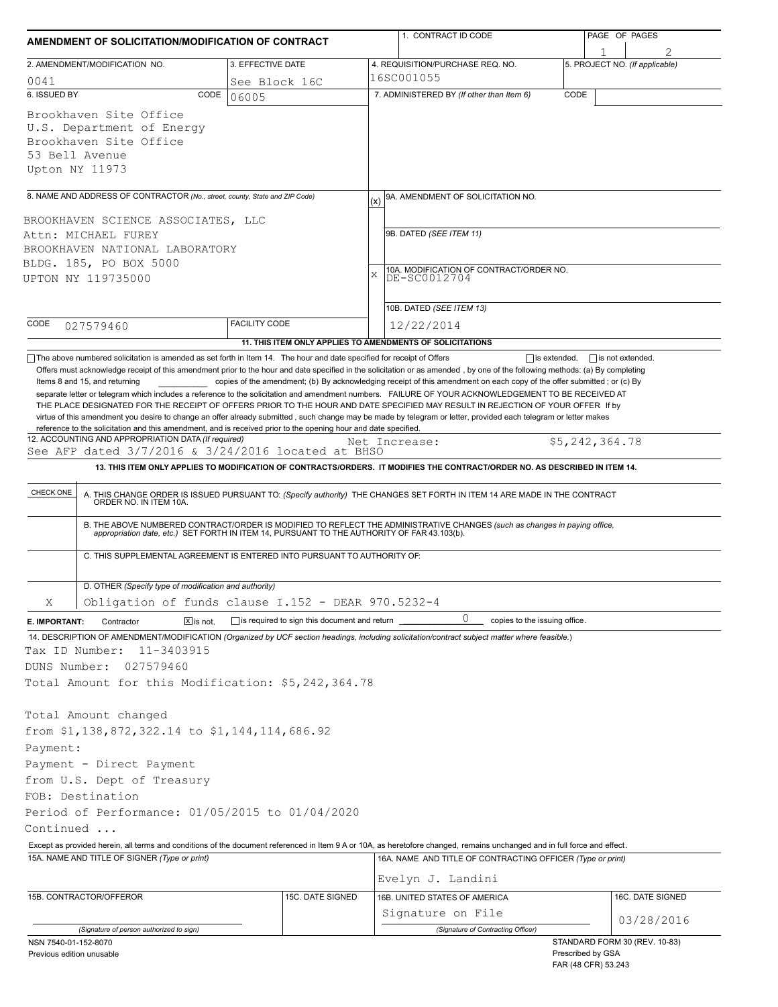| AMENDMENT OF SOLICITATION/MODIFICATION OF CONTRACT                                                                                                                        |                      |                                                     | 1. CONTRACT ID CODE                                                                                                                                                                                                                                                                                                                                                                                                                                                                                      | PAGE OF PAGES                            |
|---------------------------------------------------------------------------------------------------------------------------------------------------------------------------|----------------------|-----------------------------------------------------|----------------------------------------------------------------------------------------------------------------------------------------------------------------------------------------------------------------------------------------------------------------------------------------------------------------------------------------------------------------------------------------------------------------------------------------------------------------------------------------------------------|------------------------------------------|
| 2. AMENDMENT/MODIFICATION NO.                                                                                                                                             | 3. EFFECTIVE DATE    |                                                     | 4. REQUISITION/PURCHASE REQ. NO.                                                                                                                                                                                                                                                                                                                                                                                                                                                                         | 5. PROJECT NO. (If applicable)           |
| 0041                                                                                                                                                                      | See Block 16C        |                                                     | 16SC001055                                                                                                                                                                                                                                                                                                                                                                                                                                                                                               |                                          |
| 6. ISSUED BY                                                                                                                                                              | CODE<br>06005        |                                                     | 7. ADMINISTERED BY (If other than Item 6)                                                                                                                                                                                                                                                                                                                                                                                                                                                                | CODE                                     |
| Brookhaven Site Office<br>U.S. Department of Energy<br>Brookhaven Site Office<br>53 Bell Avenue<br>Upton NY 11973                                                         |                      |                                                     |                                                                                                                                                                                                                                                                                                                                                                                                                                                                                                          |                                          |
| 8. NAME AND ADDRESS OF CONTRACTOR (No., street, county, State and ZIP Code)                                                                                               |                      |                                                     | 9A. AMENDMENT OF SOLICITATION NO.<br>(x)                                                                                                                                                                                                                                                                                                                                                                                                                                                                 |                                          |
| BROOKHAVEN SCIENCE ASSOCIATES, LLC                                                                                                                                        |                      |                                                     |                                                                                                                                                                                                                                                                                                                                                                                                                                                                                                          |                                          |
| Attn: MICHAEL FUREY                                                                                                                                                       |                      |                                                     | 9B. DATED (SEE ITEM 11)                                                                                                                                                                                                                                                                                                                                                                                                                                                                                  |                                          |
| BROOKHAVEN NATIONAL LABORATORY                                                                                                                                            |                      |                                                     |                                                                                                                                                                                                                                                                                                                                                                                                                                                                                                          |                                          |
| BLDG. 185, PO BOX 5000                                                                                                                                                    |                      |                                                     | 10A. MODIFICATION OF CONTRACT/ORDER NO.<br>X                                                                                                                                                                                                                                                                                                                                                                                                                                                             |                                          |
| UPTON NY 119735000                                                                                                                                                        |                      |                                                     | DE-SC0012704                                                                                                                                                                                                                                                                                                                                                                                                                                                                                             |                                          |
|                                                                                                                                                                           |                      |                                                     | 10B. DATED (SEE ITEM 13)                                                                                                                                                                                                                                                                                                                                                                                                                                                                                 |                                          |
| CODE<br>027579460                                                                                                                                                         | <b>FACILITY CODE</b> |                                                     | 12/22/2014                                                                                                                                                                                                                                                                                                                                                                                                                                                                                               |                                          |
|                                                                                                                                                                           |                      |                                                     | 11. THIS ITEM ONLY APPLIES TO AMENDMENTS OF SOLICITATIONS                                                                                                                                                                                                                                                                                                                                                                                                                                                |                                          |
| See AFP dated $3/7/2016$ & $3/24/2016$ located at BHSO<br>CHECK ONE<br>C. THIS SUPPLEMENTAL AGREEMENT IS ENTERED INTO PURSUANT TO AUTHORITY OF:                           |                      |                                                     | 13. THIS ITEM ONLY APPLIES TO MODIFICATION OF CONTRACTS/ORDERS. IT MODIFIES THE CONTRACT/ORDER NO. AS DESCRIBED IN ITEM 14.<br>A. THIS CHANGE ORDER IS ISSUED PURSUANT TO: (Specify authority) THE CHANGES SET FORTH IN ITEM 14 ARE MADE IN THE CONTRACT ORDER NO. IN ITEM 10A.<br>B. THE ABOVE NUMBERED CONTRACT/ORDER IS MODIFIED TO REFLECT THE ADMINISTRATIVE CHANGES (such as changes in paying office, appropriation date, etc.) SET FORTH IN ITEM 14, PURSUANT TO THE AUTHORITY OF FAR 43.103(b). | \$5,242,364.78                           |
| D. OTHER (Specify type of modification and authority)                                                                                                                     |                      |                                                     |                                                                                                                                                                                                                                                                                                                                                                                                                                                                                                          |                                          |
| Obligation of funds clause I.152 - DEAR 970.5232-4<br>Χ                                                                                                                   |                      |                                                     |                                                                                                                                                                                                                                                                                                                                                                                                                                                                                                          |                                          |
| Contractor<br>$X$ is not.<br>E. IMPORTANT:                                                                                                                                |                      | $\Box$ is required to sign this document and return | 0<br>copies to the issuing office.                                                                                                                                                                                                                                                                                                                                                                                                                                                                       |                                          |
| 14. DESCRIPTION OF AMENDMENT/MODIFICATION (Organized by UCF section headings, including solicitation/contract subject matter where feasible.)                             |                      |                                                     |                                                                                                                                                                                                                                                                                                                                                                                                                                                                                                          |                                          |
| 11-3403915<br>Tax ID Number:                                                                                                                                              |                      |                                                     |                                                                                                                                                                                                                                                                                                                                                                                                                                                                                                          |                                          |
| DUNS Number:<br>027579460                                                                                                                                                 |                      |                                                     |                                                                                                                                                                                                                                                                                                                                                                                                                                                                                                          |                                          |
| Total Amount for this Modification: \$5,242,364.78                                                                                                                        |                      |                                                     |                                                                                                                                                                                                                                                                                                                                                                                                                                                                                                          |                                          |
| Total Amount changed<br>from \$1,138,872,322.14 to \$1,144,114,686.92<br>Payment:<br>Payment - Direct Payment<br>from U.S. Dept of Treasury<br>FOB: Destination           |                      |                                                     |                                                                                                                                                                                                                                                                                                                                                                                                                                                                                                          |                                          |
| Period of Performance: 01/05/2015 to 01/04/2020                                                                                                                           |                      |                                                     |                                                                                                                                                                                                                                                                                                                                                                                                                                                                                                          |                                          |
| Continued                                                                                                                                                                 |                      |                                                     |                                                                                                                                                                                                                                                                                                                                                                                                                                                                                                          |                                          |
| Except as provided herein, all terms and conditions of the document referenced in Item 9 A or 10A, as heretofore changed, remains unchanged and in full force and effect. |                      |                                                     |                                                                                                                                                                                                                                                                                                                                                                                                                                                                                                          |                                          |
| 15A. NAME AND TITLE OF SIGNER (Type or print)                                                                                                                             |                      |                                                     | 16A. NAME AND TITLE OF CONTRACTING OFFICER (Type or print)<br>Evelyn J. Landini                                                                                                                                                                                                                                                                                                                                                                                                                          |                                          |
| 15B. CONTRACTOR/OFFEROR                                                                                                                                                   |                      | 15C. DATE SIGNED                                    | 16B. UNITED STATES OF AMERICA                                                                                                                                                                                                                                                                                                                                                                                                                                                                            | 16C. DATE SIGNED                         |
|                                                                                                                                                                           |                      |                                                     | Signature on File                                                                                                                                                                                                                                                                                                                                                                                                                                                                                        |                                          |
| (Signature of person authorized to sign)                                                                                                                                  |                      |                                                     | (Signature of Contracting Officer)                                                                                                                                                                                                                                                                                                                                                                                                                                                                       | 03/28/2016                               |
| NSN 7540-01-152-8070                                                                                                                                                      |                      |                                                     |                                                                                                                                                                                                                                                                                                                                                                                                                                                                                                          | STANDARD FORM 30 (REV. 10-83)            |
| Previous edition unusable                                                                                                                                                 |                      |                                                     |                                                                                                                                                                                                                                                                                                                                                                                                                                                                                                          | Prescribed by GSA<br>FAR (48 CFR) 53.243 |